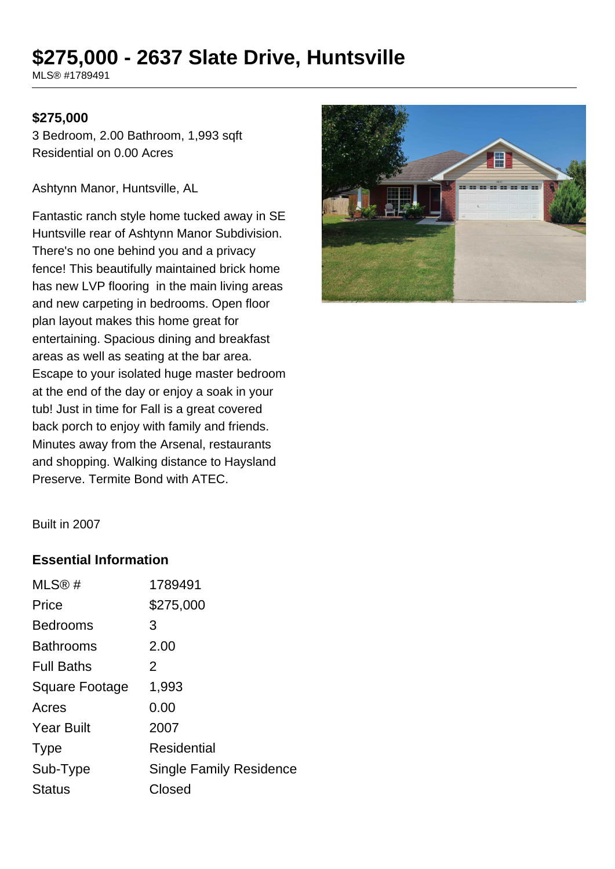# **\$275,000 - 2637 Slate Drive, Huntsville**

MLS® #1789491

#### **\$275,000**

3 Bedroom, 2.00 Bathroom, 1,993 sqft Residential on 0.00 Acres

Ashtynn Manor, Huntsville, AL

Fantastic ranch style home tucked away in SE Huntsville rear of Ashtynn Manor Subdivision. There's no one behind you and a privacy fence! This beautifully maintained brick home has new LVP flooring in the main living areas and new carpeting in bedrooms. Open floor plan layout makes this home great for entertaining. Spacious dining and breakfast areas as well as seating at the bar area. Escape to your isolated huge master bedroom at the end of the day or enjoy a soak in your tub! Just in time for Fall is a great covered back porch to enjoy with family and friends. Minutes away from the Arsenal, restaurants and shopping. Walking distance to Haysland Preserve. Termite Bond with ATEC.



Built in 2007

#### **Essential Information**

| MLS@#                 | 1789491                 |
|-----------------------|-------------------------|
| Price                 | \$275,000               |
| <b>Bedrooms</b>       | 3                       |
| <b>Bathrooms</b>      | 2.00                    |
| <b>Full Baths</b>     | 2                       |
| <b>Square Footage</b> | 1,993                   |
| Acres                 | 0.00                    |
| <b>Year Built</b>     | 2007                    |
| <b>Type</b>           | Residential             |
| Sub-Type              | Single Family Residence |
| <b>Status</b>         | Closed                  |